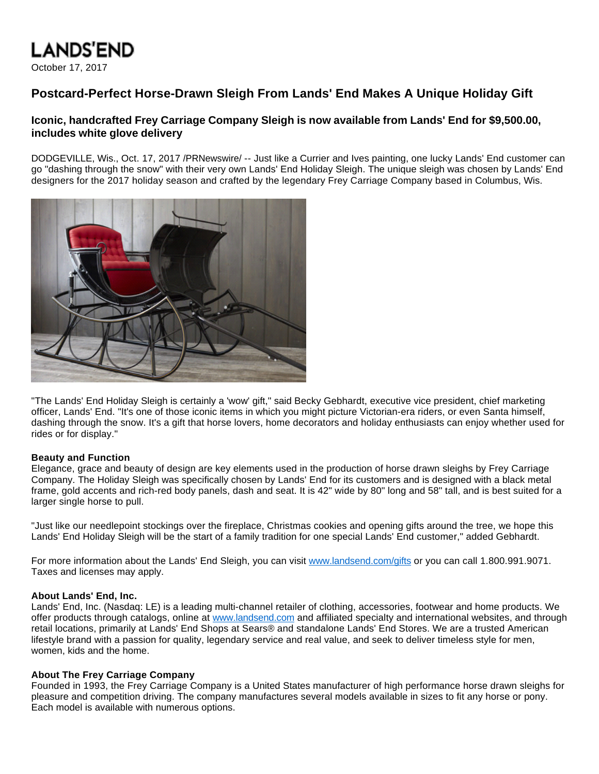# **LANDS'END**

October 17, 2017

## **Postcard-Perfect Horse-Drawn Sleigh From Lands' End Makes A Unique Holiday Gift**

### **Iconic, handcrafted Frey Carriage Company Sleigh is now available from Lands' End for \$9,500.00, includes white glove delivery**

DODGEVILLE, Wis., Oct. 17, 2017 /PRNewswire/ -- Just like a Currier and Ives painting, one lucky Lands' End customer can go "dashing through the snow" with their very own Lands' End Holiday Sleigh. The unique sleigh was chosen by Lands' End designers for the 2017 holiday season and crafted by the legendary Frey Carriage Company based in Columbus, Wis.



"The Lands' End Holiday Sleigh is certainly a 'wow' gift," said Becky Gebhardt, executive vice president, chief marketing officer, Lands' End. "It's one of those iconic items in which you might picture Victorian-era riders, or even Santa himself, dashing through the snow. It's a gift that horse lovers, home decorators and holiday enthusiasts can enjoy whether used for rides or for display."

#### **Beauty and Function**

Elegance, grace and beauty of design are key elements used in the production of horse drawn sleighs by Frey Carriage Company. The Holiday Sleigh was specifically chosen by Lands' End for its customers and is designed with a black metal frame, gold accents and rich-red body panels, dash and seat. It is 42" wide by 80" long and 58" tall, and is best suited for a larger single horse to pull.

"Just like our needlepoint stockings over the fireplace, Christmas cookies and opening gifts around the tree, we hope this Lands' End Holiday Sleigh will be the start of a family tradition for one special Lands' End customer," added Gebhardt.

For more information about the Lands' End Sleigh, you can visit [www.landsend.com/gifts](http://www.landsend.com/gifts) or you can call 1.800.991.9071. Taxes and licenses may apply.

#### **About Lands' End, Inc.**

Lands' End, Inc. (Nasdaq: LE) is a leading multi-channel retailer of clothing, accessories, footwear and home products. We offer products through catalogs, online at [www.landsend.com](http://www.landsend.com/) and affiliated specialty and international websites, and through retail locations, primarily at Lands' End Shops at Sears® and standalone Lands' End Stores. We are a trusted American lifestyle brand with a passion for quality, legendary service and real value, and seek to deliver timeless style for men, women, kids and the home.

#### **About The Frey Carriage Company**

Founded in 1993, the Frey Carriage Company is a United States manufacturer of high performance horse drawn sleighs for pleasure and competition driving. The company manufactures several models available in sizes to fit any horse or pony. Each model is available with numerous options.